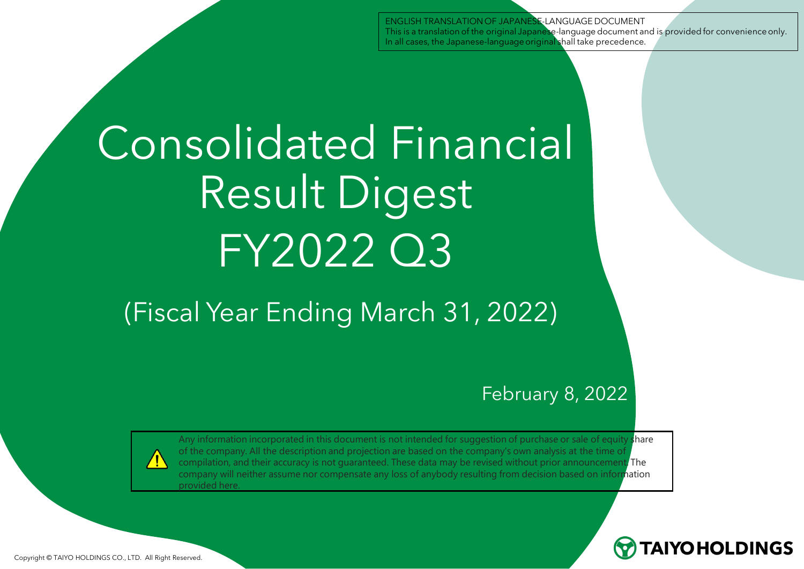ENGLISH TRANSLATION OF JAPANESE-LANGUAGE DOCUMENT This is a translation of the original Japanese-language document and is provided for convenience only. In all cases, the Japanese-language original shall take precedence.

# Consolidated Financial Result Digest FY2022 Q3

# (Fiscal Year Ending March 31, 2022)

#### February 8, 2022



Any information incorporated in this document is not intended for suggestion of purchase or sale of equity share of the company. All the description and projection are based on the company's own analysis at the time of compilation, and their accuracy is not guaranteed. These data may be revised without prior announcement. The company will neither assume nor compensate any loss of anybody resulting from decision based on information provided here.



Copyright © TAIYO HOLDINGS CO., LTD. All Right Reserved.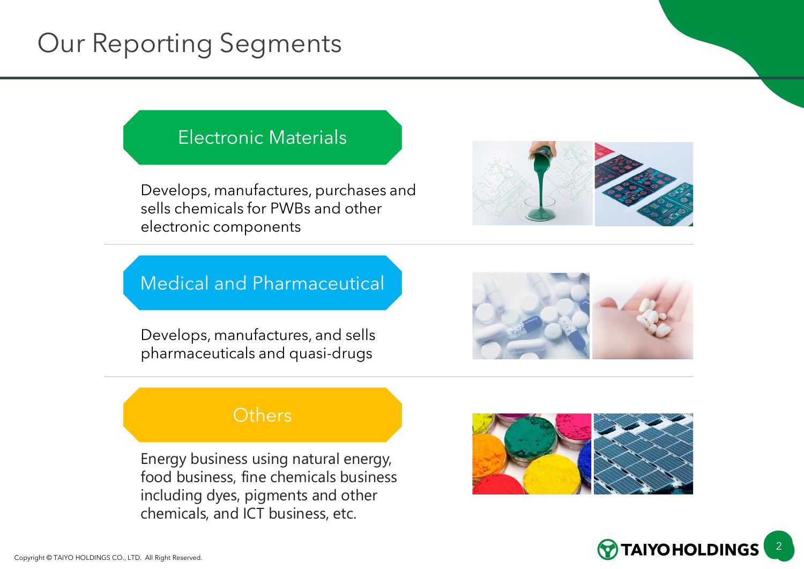# Our Reporting Segments

#### Electronic Materials

Develops, manufactures, purchases and sells chemicals for PWBs and other electronic components



#### Medical and Pharmaceutical

Develops, manufactures, and sells pharmaceuticals and quasi-drugs



#### **Others**

Energy business using natural energy, food business, fine chemicals business including dyes, pigments and other chemicals, and ICT business, etc.



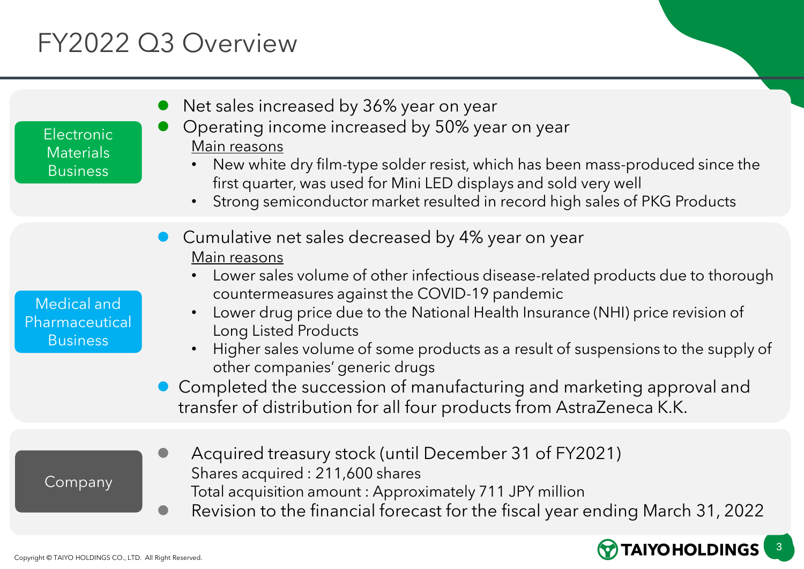# FY2022 Q3 Overview

| <b>Electronic</b><br><b>Materials</b><br><b>Business</b> | Net sales increased by 36% year on year<br>Operating income increased by 50% year on year<br>Main reasons<br>New white dry film-type solder resist, which has been mass-produced since the<br>first quarter, was used for Mini LED displays and sold very well<br>Strong semiconductor market resulted in record high sales of PKG Products                                                                                                                                                                                                                                            |
|----------------------------------------------------------|----------------------------------------------------------------------------------------------------------------------------------------------------------------------------------------------------------------------------------------------------------------------------------------------------------------------------------------------------------------------------------------------------------------------------------------------------------------------------------------------------------------------------------------------------------------------------------------|
| Medical and<br>Pharmaceutical<br><b>Business</b>         | Cumulative net sales decreased by 4% year on year<br>Main reasons<br>Lower sales volume of other infectious disease-related products due to thorough<br>countermeasures against the COVID-19 pandemic<br>Lower drug price due to the National Health Insurance (NHI) price revision of<br>Long Listed Products<br>Higher sales volume of some products as a result of suspensions to the supply of<br>other companies' generic drugs<br>• Completed the succession of manufacturing and marketing approval and<br>transfer of distribution for all four products from AstraZeneca K.K. |
| Company                                                  | Acquired treasury stock (until December 31 of FY2021)<br>Shares acquired: 211,600 shares<br>Total acquisition amount: Approximately 711 JPY million<br>Revision to the financial forecast for the fiscal year ending March 31, 2022                                                                                                                                                                                                                                                                                                                                                    |

**TAIYOHOLDINGS**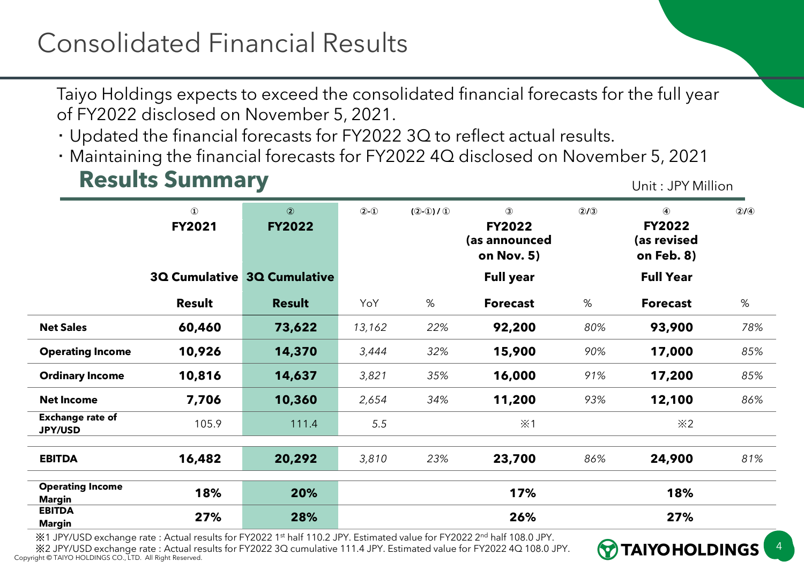Taiyo Holdings expects to exceed the consolidated financial forecasts for the full year of FY2022 disclosed on November 5, 2021.

・ Updated the financial forecasts for FY2022 3Q to reflect actual results.

・ Maintaining the financial forecasts for FY2022 4Q disclosed on November 5, 2021

#### **Results Summary Exercise Summary Properties All Algebra 2016**

**TAIYOHOLDINGS** 

4

|                                           | $\mathbf 0$<br><b>FY2021</b> | $\circled{2}$<br><b>FY2022</b> | $(2)-1$ | $(2-0)/0$ | $\circled{3}$<br><b>FY2022</b><br>(as announced<br>on Nov. 5) | (2)(3) | 4<br><b>FY2022</b><br>(as revised<br>on Feb. 8) | Q/(4) |
|-------------------------------------------|------------------------------|--------------------------------|---------|-----------|---------------------------------------------------------------|--------|-------------------------------------------------|-------|
|                                           |                              | 3Q Cumulative 3Q Cumulative    |         |           | <b>Full year</b>                                              |        | <b>Full Year</b>                                |       |
|                                           | Result                       | <b>Result</b>                  | YoY     | %         | <b>Forecast</b>                                               | %      | <b>Forecast</b>                                 | %     |
| <b>Net Sales</b>                          | 60,460                       | 73,622                         | 13,162  | 22%       | 92,200                                                        | 80%    | 93,900                                          | 78%   |
| <b>Operating Income</b>                   | 10,926                       | 14,370                         | 3,444   | 32%       | 15,900                                                        | 90%    | 17,000                                          | 85%   |
| <b>Ordinary Income</b>                    | 10,816                       | 14,637                         | 3,821   | 35%       | 16,000                                                        | 91%    | 17,200                                          | 85%   |
| <b>Net Income</b>                         | 7,706                        | 10,360                         | 2,654   | 34%       | 11,200                                                        | 93%    | 12,100                                          | 86%   |
| <b>Exchange rate of</b><br><b>JPY/USD</b> | 105.9                        | 111.4                          | 5.5     |           | $\dot{\times}$ 1                                              |        | $\divideontimes$ 2                              |       |
| <b>EBITDA</b>                             | 16,482                       | 20,292                         | 3,810   | 23%       | 23,700                                                        | 86%    | 24,900                                          | 81%   |
| <b>Operating Income</b><br><b>Margin</b>  | 18%                          | 20%                            |         |           | 17%                                                           |        | 18%                                             |       |
| <b>EBITDA</b><br>Margin                   | 27%                          | 28%                            |         |           | 26%                                                           |        | 27%                                             |       |

※1 JPY/USD exchange rate : Actual results for FY2022 1st half 110.2 JPY. Estimated value for FY2022 2nd half 108.0 JPY.

Copyright © TAIYO HOLDINGS CO., LTD. All Right Reserved. ※2 JPY/USD exchange rate : Actual results for FY2022 3Q cumulative 111.4 JPY. Estimated value for FY2022 4Q 108.0 JPY.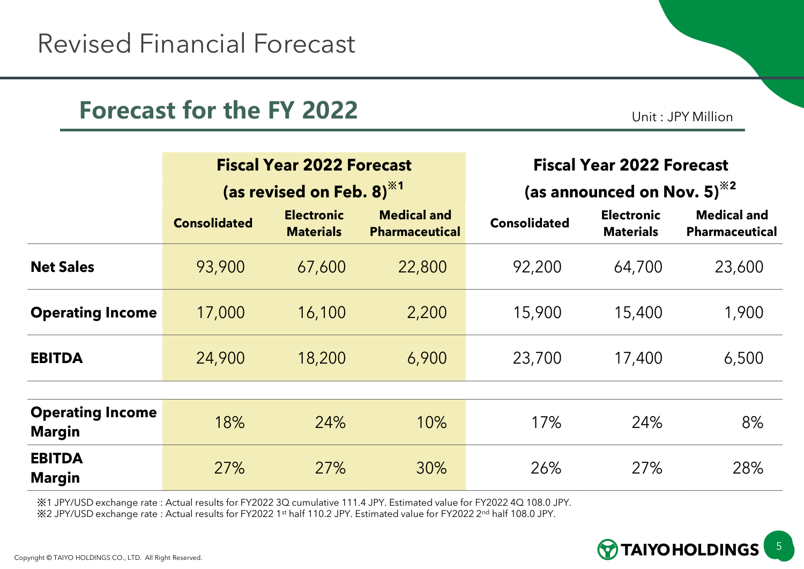#### **Forecast for the FY 2022** Unit: JPY Million

|                                          |                     | <b>Fiscal Year 2022 Forecast</b>      |                                             | <b>Fiscal Year 2022 Forecast</b><br>(as announced on Nov. 5) <sup>**2</sup> |                                       |                                             |  |
|------------------------------------------|---------------------|---------------------------------------|---------------------------------------------|-----------------------------------------------------------------------------|---------------------------------------|---------------------------------------------|--|
|                                          |                     | (as revised on Feb. 8) $*1$           |                                             |                                                                             |                                       |                                             |  |
|                                          | <b>Consolidated</b> | <b>Electronic</b><br><b>Materials</b> | <b>Medical and</b><br><b>Pharmaceutical</b> | <b>Consolidated</b>                                                         | <b>Electronic</b><br><b>Materials</b> | <b>Medical and</b><br><b>Pharmaceutical</b> |  |
| <b>Net Sales</b>                         | 93,900              | 67,600                                | 22,800                                      | 92,200                                                                      | 64,700                                | 23,600                                      |  |
| <b>Operating Income</b>                  | 17,000              | 16,100                                | 2,200                                       | 15,900                                                                      | 15,400                                | 1,900                                       |  |
| <b>EBITDA</b>                            | 24,900              | 18,200                                | 6,900                                       | 23,700                                                                      | 17,400                                | 6,500                                       |  |
|                                          |                     |                                       |                                             |                                                                             |                                       |                                             |  |
| <b>Operating Income</b><br><b>Margin</b> | 18%                 | 24%                                   | 10%                                         | 17%                                                                         | 24%                                   | 8%                                          |  |
| <b>EBITDA</b><br><b>Margin</b>           | 27%                 | 27%                                   | 30%                                         | 26%                                                                         | 27%                                   | 28%                                         |  |

※1 JPY/USD exchange rate : Actual results for FY2022 3Q cumulative 111.4 JPY. Estimated value for FY2022 4Q 108.0 JPY. ※2 JPY/USD exchange rate : Actual results for FY2022 1st half 110.2 JPY. Estimated value for FY2022 2nd half 108.0 JPY.

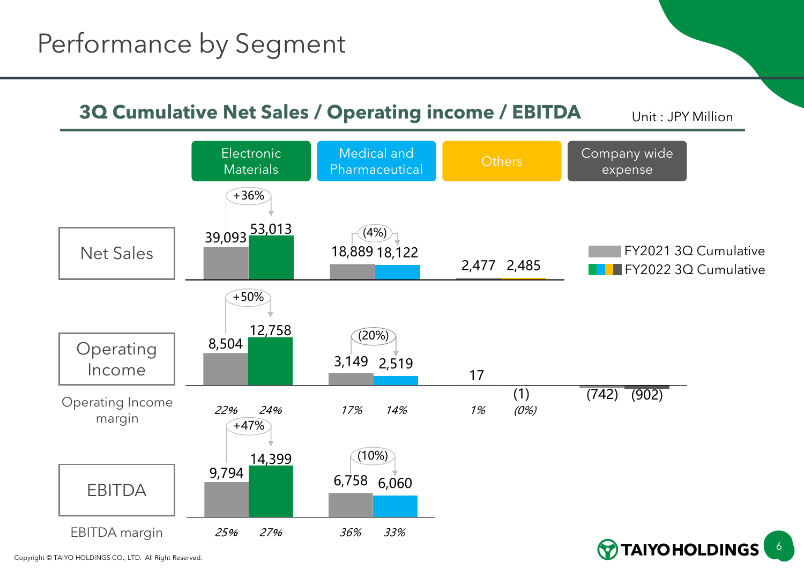#### **3Q Cumulative Net Sales / Operating income / EBITDA** Unit: JPY Million



Copyright © TAIYO HOLDINGS CO., LTD. All Right Reserved.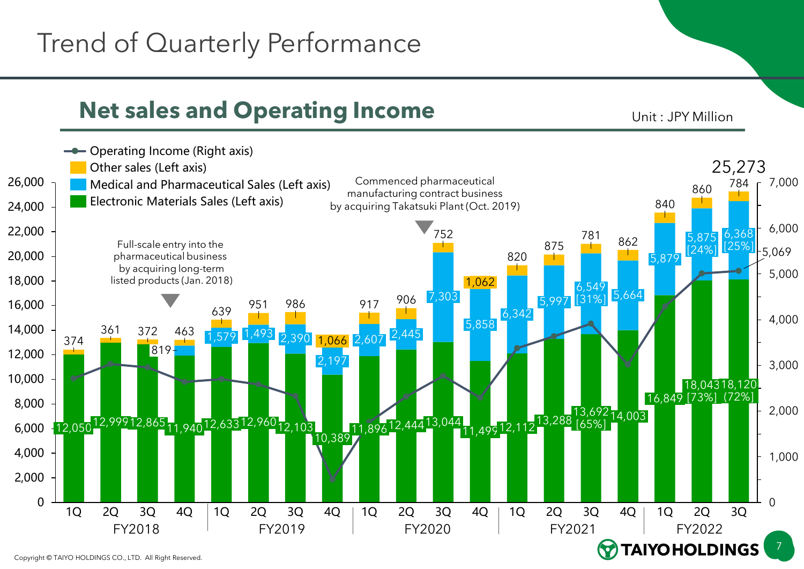# Trend of Quarterly Performance

#### **Net sales and Operating Income** Unit: JPY Million

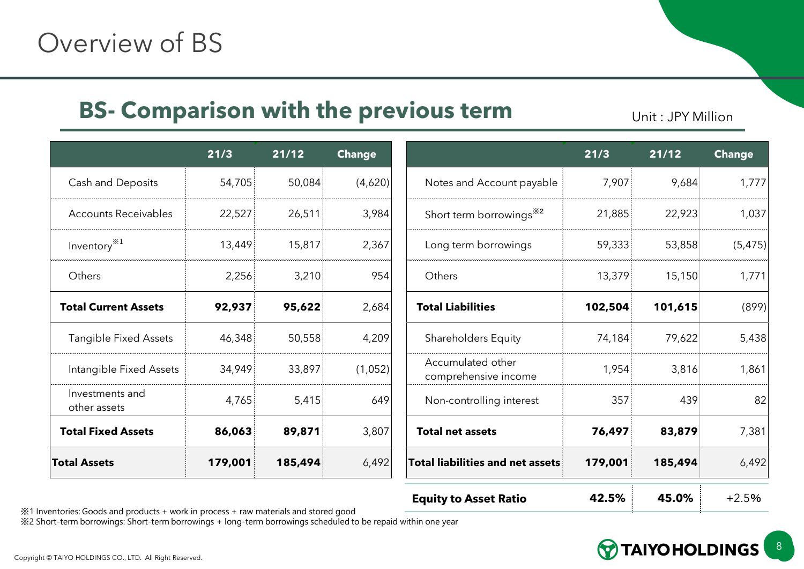#### **BS- Comparison with the previous term** Unit : JPY Million

|                                 | 21/3    | 21/12   | <b>Change</b> |                                         |
|---------------------------------|---------|---------|---------------|-----------------------------------------|
| Cash and Deposits               | 54,705  | 50,084  | (4,620)       | Notes and Account                       |
| <b>Accounts Receivables</b>     | 22,527  | 26,511  | 3,984         | Short term borrowi                      |
| Inventory $*1$                  | 13,449  | 15,817  | 2,367         | Long term borrowir                      |
| Others                          | 2,256   | 3,210   | 954           | Others                                  |
| <b>Total Current Assets</b>     | 92,937  | 95,622  | 2,684         | <b>Total Liabilities</b>                |
| <b>Tangible Fixed Assets</b>    | 46,348  | 50,558  | 4,209         | Shareholders Equit                      |
| Intangible Fixed Assets         | 34,949  | 33,897  | (1,052)       | Accumulated other<br>comprehensive ince |
| Investments and<br>other assets | 4,765   | 5,415   | 649           | Non-controlling inte                    |
| <b>Total Fixed Assets</b>       | 86,063  | 89,871  | 3,807         | <b>Total net assets</b>                 |
| <b>Total Assets</b>             | 179,001 | 185,494 | 6,492         | Total liabilities and n                 |

|                                                                                                              | 21/3    | 21/12   | <b>Change</b> |                                           | 21/3    | 21/12   | <b>Change</b> |
|--------------------------------------------------------------------------------------------------------------|---------|---------|---------------|-------------------------------------------|---------|---------|---------------|
| Cash and Deposits                                                                                            | 54,705  | 50,084  | (4,620)       | Notes and Account payable                 | 7,907   | 9,684   | 1,777         |
| <b>Accounts Receivables</b>                                                                                  | 22,527  | 26,511  | 3,984         | Short term borrowings <sup>*2</sup>       | 21,885  | 22,923  | 1,037         |
| Inventory $*1$                                                                                               | 13,449  | 15,817  | 2,367         | Long term borrowings                      | 59,333  | 53,858  | (5, 475)      |
| Others                                                                                                       | 2,256   | 3,210   | 954           | Others                                    | 13,379  | 15,150  | 1,771         |
| <b>Total Current Assets</b>                                                                                  | 92,937  | 95,622  | 2,684         | <b>Total Liabilities</b>                  | 102,504 | 101,615 | (899)         |
| <b>Tangible Fixed Assets</b>                                                                                 | 46,348  | 50,558  | 4,209         | <b>Shareholders Equity</b>                | 74,184  | 79,622  | 5,438         |
| Intangible Fixed Assets                                                                                      | 34,949  | 33,897  | (1,052)       | Accumulated other<br>comprehensive income | 1,954   | 3,816   | 1,861         |
| Investments and<br>other assets                                                                              | 4,765   | 5,415   | 649           | Non-controlling interest                  | 357     | 439     | 82            |
| <b>Total Fixed Assets</b>                                                                                    | 86,063  | 89,871  | 3,807         | <b>Total net assets</b>                   | 76,497  | 83,879  | 7,381         |
| <b>Total Assets</b>                                                                                          | 179,001 | 185,494 | 6,492         | <b>Total liabilities and net assets</b>   | 179,001 | 185,494 | 6,492         |
| الرجحين الروسجام الرعرم والمشروعة وينوس والمحجج ومعروبات وأسجين والمعتبر الرعيمي الرعرم والرجح كالمحشرة وعار |         |         |               | <b>Equity to Asset Ratio</b>              | 42.5%   | 45.0%   | $+2.5%$       |

※1 Inventories: Goods and products + work in process + raw materials and stored good

※2 Short-term borrowings: Short-term borrowings + long-term borrowings scheduled to be repaid within one year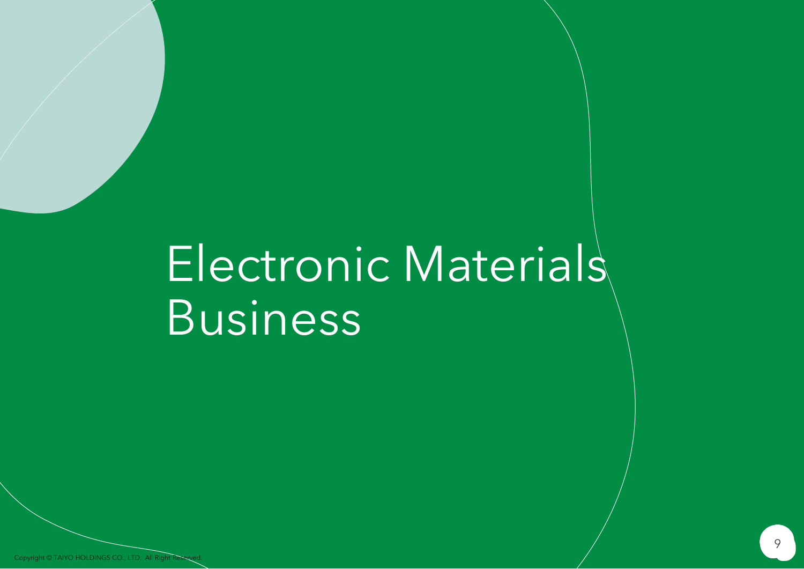# Electronic Materials Business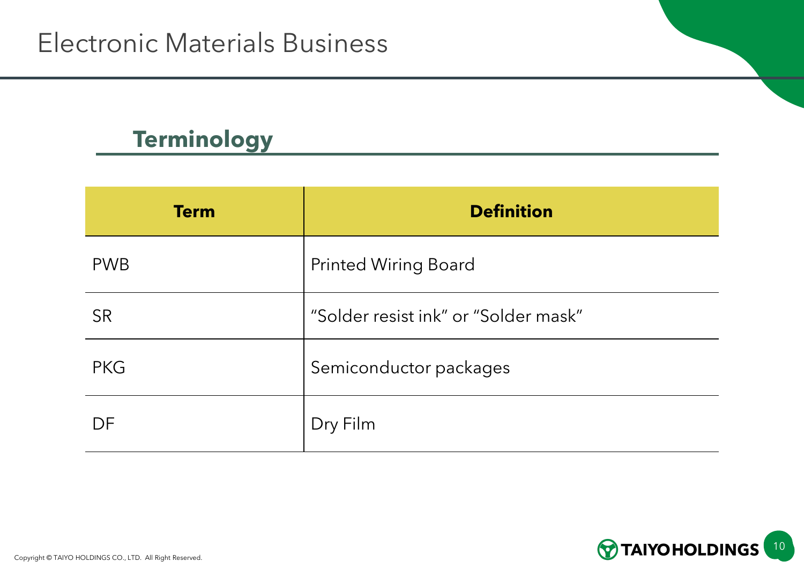#### **Terminology**

| <b>Term</b> | <b>Definition</b>                    |
|-------------|--------------------------------------|
| <b>PWB</b>  | <b>Printed Wiring Board</b>          |
| <b>SR</b>   | "Solder resist ink" or "Solder mask" |
| <b>PKG</b>  | Semiconductor packages               |
| DF          | Dry Film                             |

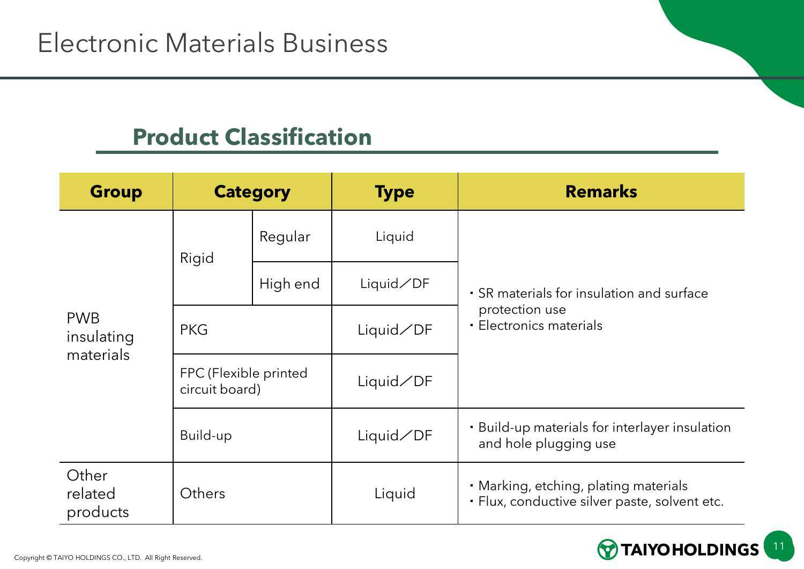#### **Product Classification**

| <b>Group</b>                          | <b>Category</b>                         |          | <b>Type</b>    | <b>Remarks</b>                                                                         |
|---------------------------------------|-----------------------------------------|----------|----------------|----------------------------------------------------------------------------------------|
| <b>PWB</b><br>insulating<br>materials | Rigid                                   | Regular  | Liquid         |                                                                                        |
|                                       |                                         | High end | $Liquid\n  DF$ | • SR materials for insulation and surface                                              |
|                                       | <b>PKG</b>                              |          | Liquid/DF      | protection use<br>· Electronics materials                                              |
|                                       | FPC (Flexible printed<br>circuit board) |          | Liquid/DF      |                                                                                        |
|                                       | Build-up                                |          | $Liquid\n  DF$ | • Build-up materials for interlayer insulation<br>and hole plugging use                |
| Other<br>related<br>products          | Others                                  |          | Liquid         | • Marking, etching, plating materials<br>· Flux, conductive silver paste, solvent etc. |

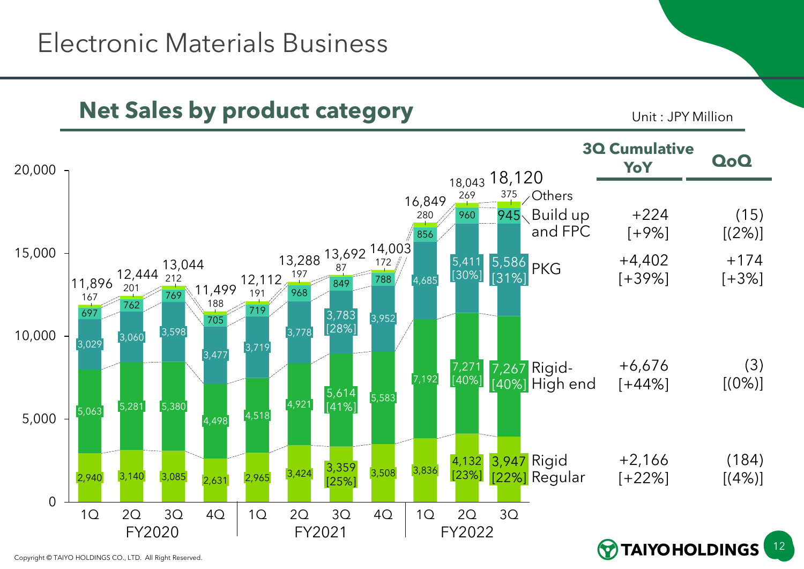## Electronic Materials Business

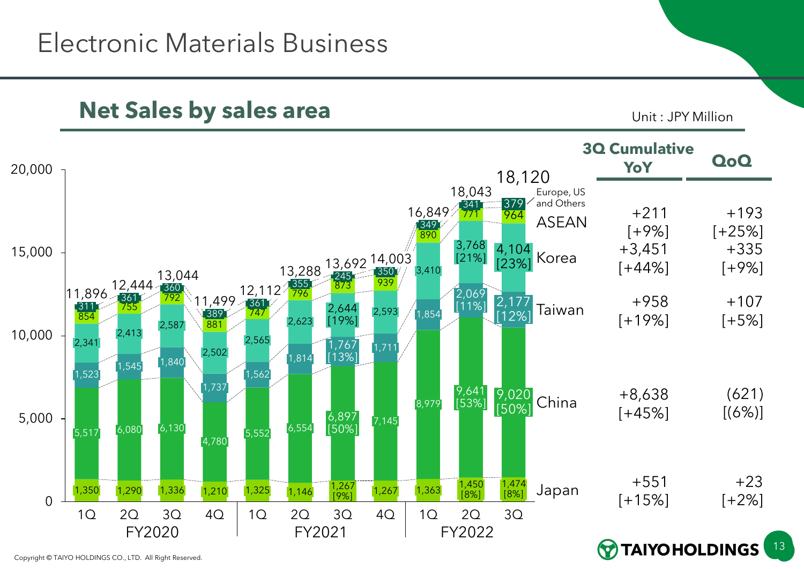### Electronic Materials Business

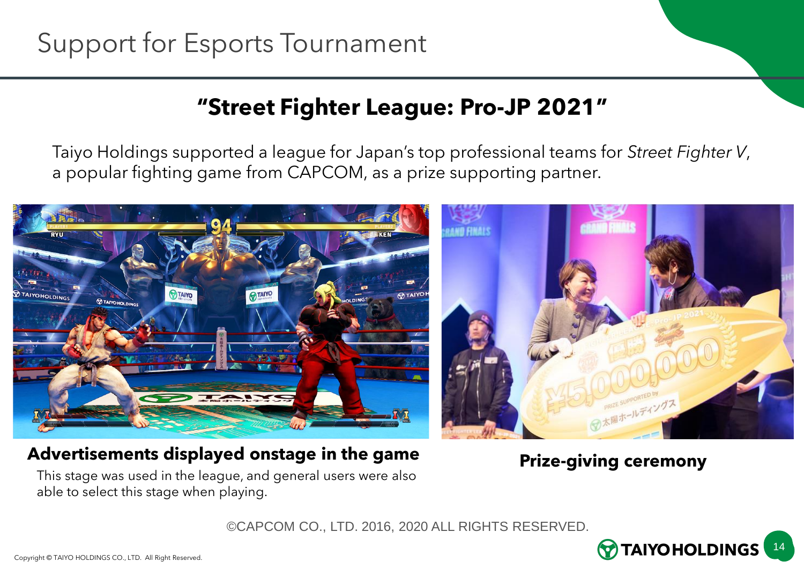#### **"Street Fighter League: Pro-JP 2021"**

Taiyo Holdings supported a league for Japan's top professional teams for *Street Fighter V*, a popular fighting game from CAPCOM, as a prize supporting partner.



#### **Advertisements displayed onstage in the game**

**Prize-giving ceremony**

This stage was used in the league, and general users were also able to select this stage when playing.

©CAPCOM CO., LTD. 2016, 2020 ALL RIGHTS RESERVED.

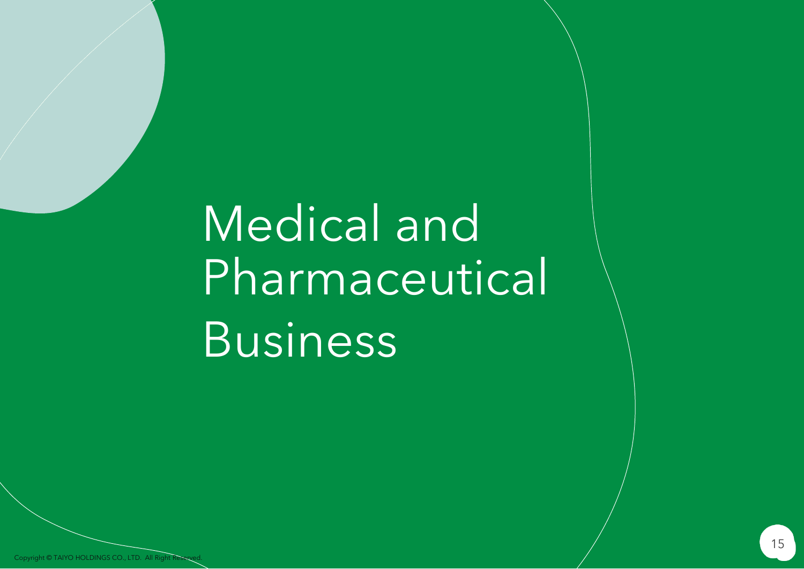Medical and Pharmaceutical Business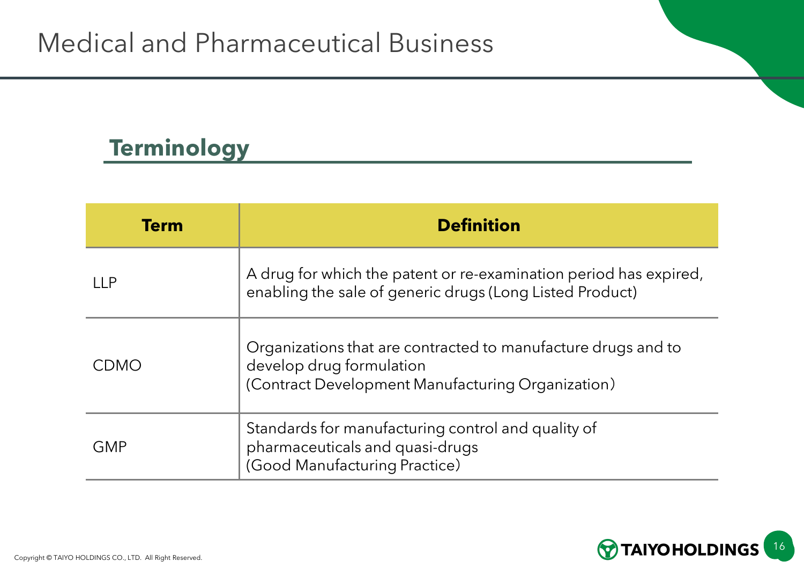### **Terminology**

| <b>Term</b> | <b>Definition</b>                                                                                                                              |
|-------------|------------------------------------------------------------------------------------------------------------------------------------------------|
| 11P         | A drug for which the patent or re-examination period has expired,<br>enabling the sale of generic drugs (Long Listed Product)                  |
| CDMO        | Organizations that are contracted to manufacture drugs and to<br>develop drug formulation<br>(Contract Development Manufacturing Organization) |
| <b>GMP</b>  | Standards for manufacturing control and quality of<br>pharmaceuticals and quasi-drugs<br>(Good Manufacturing Practice)                         |

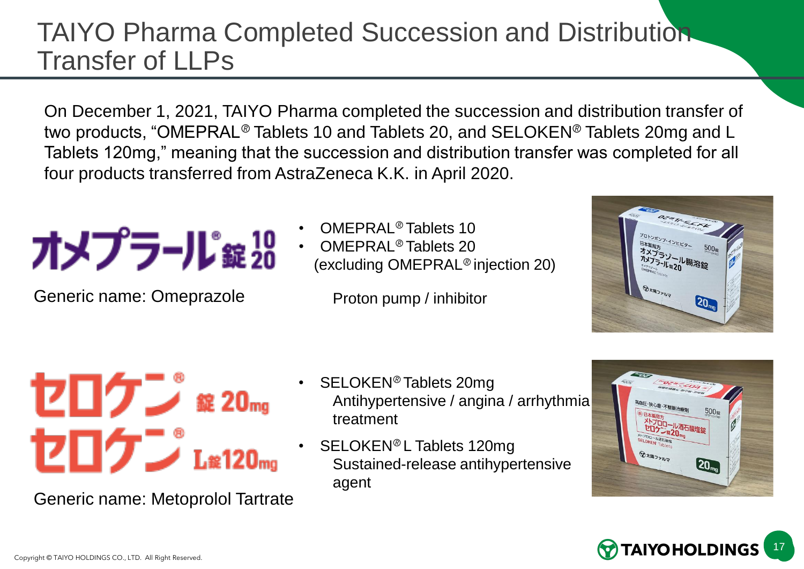## TAIYO Pharma Completed Succession and Distribution Transfer of LLPs

On December 1, 2021, TAIYO Pharma completed the succession and distribution transfer of two products, "OMEPRAL<sup>®</sup> Tablets 10 and Tablets 20, and SELOKEN<sup>®</sup> Tablets 20mg and L Tablets 120mg," meaning that the succession and distribution transfer was completed for all four products transferred from AstraZeneca K.K. in April 2020.

Generic name: Omeprazole

- OMEPRAL<sup>®</sup> Tablets 10
- OMEPRAL<sup>®</sup> Tablets 20 (excluding OMEPRAL<sup>®</sup> injection 20)

Proton pump / inhibitor



# セロケン \*20mg セロケン Læ120mg

Generic name: Metoprolol Tartrate

- SELOKEN<sup>®</sup> Tablets 20mg Antihypertensive / angina / arrhythmia treatment
- SELOKEN<sup>®</sup> L Tablets 120mg Sustained-release antihypertensive agent



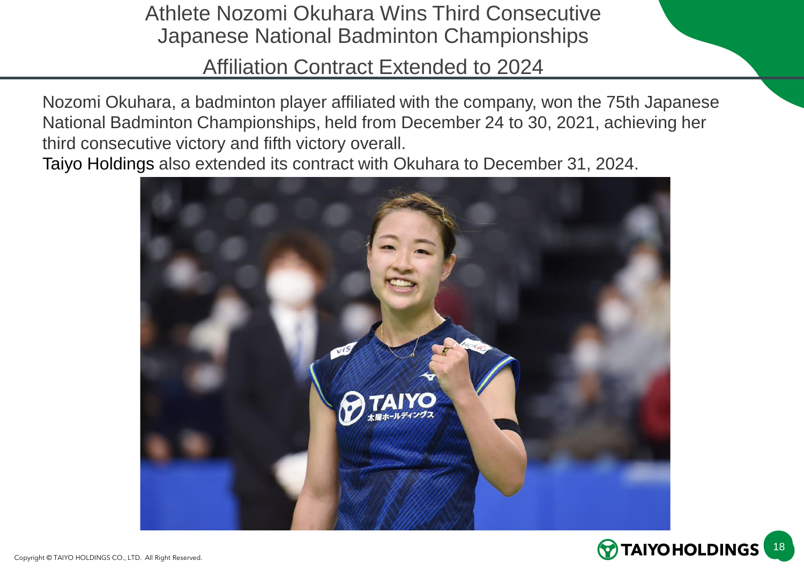Athlete Nozomi Okuhara Wins Third Consecutive Japanese National Badminton Championships

Affiliation Contract Extended to 2024

Nozomi Okuhara, a badminton player affiliated with the company, won the 75th Japanese National Badminton Championships, held from December 24 to 30, 2021, achieving her third consecutive victory and fifth victory overall.

Taiyo Holdings also extended its contract with Okuhara to December 31, 2024.